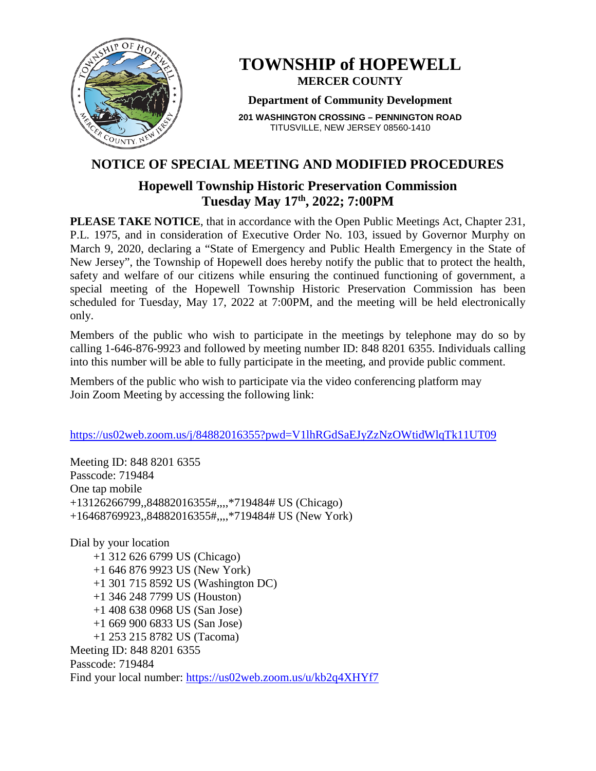

# **TOWNSHIP of HOPEWELL MERCER COUNTY**

### **Department of Community Development**

**201 WASHINGTON CROSSING – PENNINGTON ROAD** TITUSVILLE, NEW JERSEY 08560-1410

## **NOTICE OF SPECIAL MEETING AND MODIFIED PROCEDURES**

## **Hopewell Township Historic Preservation Commission Tuesday May 17th, 2022; 7:00PM**

**PLEASE TAKE NOTICE**, that in accordance with the Open Public Meetings Act, Chapter 231, P.L. 1975, and in consideration of Executive Order No. 103, issued by Governor Murphy on March 9, 2020, declaring a "State of Emergency and Public Health Emergency in the State of New Jersey", the Township of Hopewell does hereby notify the public that to protect the health, safety and welfare of our citizens while ensuring the continued functioning of government, a special meeting of the Hopewell Township Historic Preservation Commission has been scheduled for Tuesday, May 17, 2022 at 7:00PM, and the meeting will be held electronically only.

Members of the public who wish to participate in the meetings by telephone may do so by calling 1-646-876-9923 and followed by meeting number ID: 848 8201 6355. Individuals calling into this number will be able to fully participate in the meeting, and provide public comment.

Members of the public who wish to participate via the video conferencing platform may Join Zoom Meeting by accessing the following link:

<https://us02web.zoom.us/j/84882016355?pwd=V1lhRGdSaEJyZzNzOWtidWlqTk11UT09>

Meeting ID: 848 8201 6355 Passcode: 719484 One tap mobile +13126266799,,84882016355#,,,,\*719484# US (Chicago) +16468769923,,84882016355#,,,,\*719484# US (New York)

Dial by your location +1 312 626 6799 US (Chicago) +1 646 876 9923 US (New York) +1 301 715 8592 US (Washington DC) +1 346 248 7799 US (Houston) +1 408 638 0968 US (San Jose) +1 669 900 6833 US (San Jose) +1 253 215 8782 US (Tacoma) Meeting ID: 848 8201 6355 Passcode: 719484 Find your local number:<https://us02web.zoom.us/u/kb2q4XHYf7>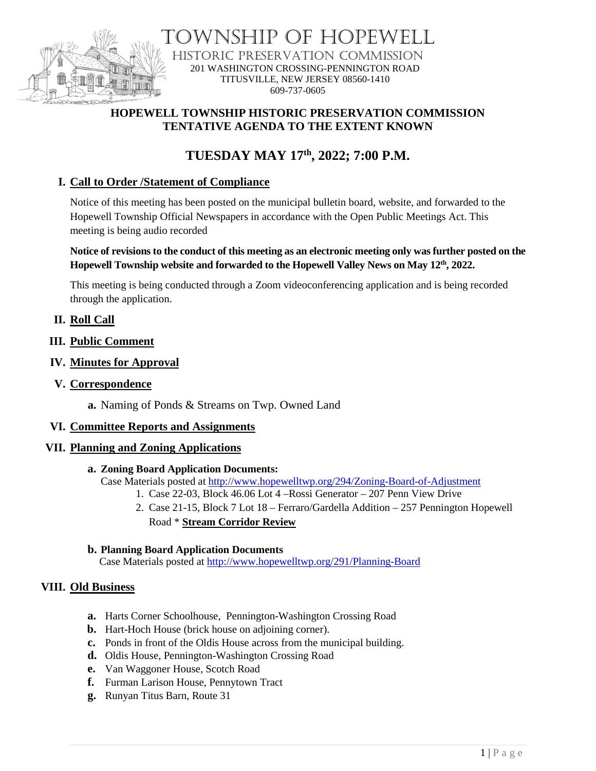

DWNSHIP OF HOPEWELL HISTORIC PRESERVATION COMMISSION 201 WASHINGTON CROSSING-PENNINGTON ROAD TITUSVILLE, NEW JERSEY 08560-1410 609-737-0605

## **HOPEWELL TOWNSHIP HISTORIC PRESERVATION COMMISSION TENTATIVE AGENDA TO THE EXTENT KNOWN**

# **TUESDAY MAY 17th , 2022; 7:00 P.M.**

## **I. Call to Order /Statement of Compliance**

Notice of this meeting has been posted on the municipal bulletin board, website, and forwarded to the Hopewell Township Official Newspapers in accordance with the Open Public Meetings Act. This meeting is being audio recorded

#### **Notice of revisions to the conduct of this meeting as an electronic meeting only was further posted on the Hopewell Township website and forwarded to the Hopewell Valley News on May 12th, 2022.**

This meeting is being conducted through a Zoom videoconferencing application and is being recorded through the application.

## **II. Roll Call**

- **III. Public Comment**
- **IV. Minutes for Approval**
- **V. Correspondence**
	- **a.** Naming of Ponds & Streams on Twp. Owned Land

#### **VI. Committee Reports and Assignments**

#### **VII. Planning and Zoning Applications**

- **a. Zoning Board Application Documents:** Case Materials posted at<http://www.hopewelltwp.org/294/Zoning-Board-of-Adjustment>
	- 1. Case 22-03, Block 46.06 Lot 4 –Rossi Generator 207 Penn View Drive
	- 2. Case 21-15, Block 7 Lot 18 Ferraro/Gardella Addition 257 Pennington Hopewell Road \* **Stream Corridor Review**

#### **b. Planning Board Application Documents**

Case Materials posted at <http://www.hopewelltwp.org/291/Planning-Board>

#### **VIII. Old Business**

- **a.** Harts Corner Schoolhouse, Pennington-Washington Crossing Road
- **b.** Hart-Hoch House (brick house on adjoining corner).
- **c.** Ponds in front of the Oldis House across from the municipal building.
- **d.** Oldis House, Pennington-Washington Crossing Road
- **e.** Van Waggoner House, Scotch Road
- **f.** Furman Larison House, Pennytown Tract
- **g.** Runyan Titus Barn, Route 31